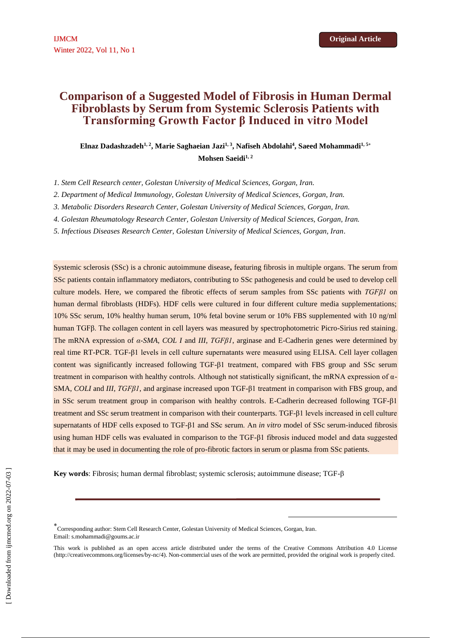# **Comparison of a Suggested Model of Fibrosis in Human Dermal Fibroblasts by Serum from Systemic Sclerosis Patients with Transforming Growth Factor β Induced in vitro Model**

**Elnaz Dadashzadeh1, 2, Marie Saghaeian Jazi1, 3, Nafiseh Abdolahi<sup>4</sup> , Saeed Mohammadi 1, 5 Mohsen Saeidi1, 2**

*1. Stem Cell Research center, Golestan University of Medical Sciences, Gorgan, Iran.*

*2. Department of Medical Immunology, Golestan University of Medical Sciences, Gorgan, Iran.* 

*3. Metabolic Disorders Research Center, Golestan University of Medical Sciences, Gorgan, Iran.*

*4. Golestan Rheumatology Research Center, Golestan University of Medical Sciences, Gorgan, Iran.*

*5. Infectious Diseases Research Center, Golestan University of Medical Sciences, Gorgan, Iran.*

Systemic sclerosis (SSc) is a chronic autoimmune disease**,** featuring fibrosis in multiple organs. The serum from SSc patients contain inflammatory mediators, contributing to SSc pathogenesis and could be used to develop cell culture models. Here, we compared the fibrotic effects of serum samples from SSc patients with *TGFβ1* on human dermal fibroblasts (HDFs). HDF cells were cultured in four different culture media supplementations; 10% SSc serum, 10% healthy human serum, 10% fetal bovine serum or 10% FBS supplemented with 10 ng/ml human TGFβ. The collagen content in cell layers was measured by spectrophotometric Picro-Sirius red staining. The mRNA expression of *α-SMA*, *COL I* and *III*, *TGFβ1*, arginase and E-Cadherin genes were determined by real time RT-PCR. TGF-β1 levels in cell culture supernatants were measured using ELISA. Cell layer collagen content was significantly increased following TGF-β1 treatment, compared with FBS group and SSc serum treatment in comparison with healthy controls. Although not statistically significant, the mRNA expression of α-SMA, *COLI* and *III*, *TGFβ1*, and arginase increased upon TGF-β1 treatment in comparison with FBS group, and in SSc serum treatment group in comparison with healthy controls. E-Cadherin decreased following TGF-β1 treatment and SSc serum treatment in comparison with their counterparts. TGF-β1 levels increased in cell culture supernatants of HDF cells exposed to TGF-β1 and SSc serum. An *in vitro* model of SSc serum-induced fibrosis using human HDF cells was evaluated in comparison to the TGF-β1 fibrosis induced model and data suggested that it may be used in documenting the role of pro-fibrotic factors in serum or plasma from SSc patients.

**Key words**: Fibrosis; human dermal fibroblast; systemic sclerosis; autoimmune disease; TGF-β

**.** 

Corresponding author: Stem Cell Research Center, Golestan University of Medical Sciences, Gorgan, Iran. Email[: s.mohammadi@goums.ac.ir](mailto:s.mohammadi@goums.ac.ir)

This work is published as an open access article distributed under the terms of the Creative Commons Attribution 4.0 License [\(http://creativecommons.org/licenses/by-nc/4\)](http://creativecommons.org/licenses/by-nc/4). Non-commercial uses of the work are permitted, provided the original work is properly cited.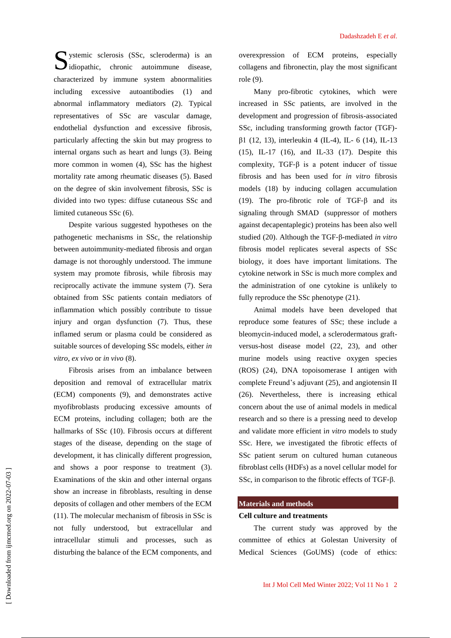Systemic sclerosis (SSc, scleroderma) is an idiopathic, chronic autoimmune disease, *diopathic*, chronic autoimmune disease, characterized by immune system abnormalities including excessive autoantibodies (1) and abnormal inflammatory mediators (2). Typical representatives of SSc are vascular damage, endothelial dysfunction and excessive fibrosis, particularly affecting the skin but may progress to internal organs such as heart and lungs (3). Being more common in women (4), SSc has the highest mortality rate among rheumatic diseases (5). Based on the degree of skin involvement fibrosis, SSc is divided into two types: diffuse cutaneous SSc and limited cutaneous SSc (6).

Despite various suggested hypotheses on the pathogenetic mechanisms in SSc, the relationship between autoimmunity-mediated fibrosis and organ damage is not thoroughly understood. The immune system may promote fibrosis, while fibrosis may reciprocally activate the immune system (7). Sera obtained from SSc patients contain mediators of inflammation which possibly contribute to tissue injury and organ dysfunction (7). Thus, these inflamed serum or plasma could be considered as suitable sources of developing SSc models, either *in vitro*, *ex vivo* or *in vivo* (8).

Fibrosis arises from an imbalance between deposition and removal of extracellular matrix (ECM) components (9), and demonstrates active myofibroblasts producing excessive amounts of ECM proteins, including collagen; both are the hallmarks of SSc (10). Fibrosis occurs at different stages of the disease, depending on the stage of development, it has clinically different progression, and shows a poor response to treatment (3). Examinations of the skin and other internal organs show an increase in fibroblasts, resulting in dense deposits of collagen and other members of the ECM (11). The molecular mechanism of fibrosis in SSc is not fully understood, but extracellular and intracellular stimuli and processes, such as disturbing the balance of the ECM components, and

overexpression of ECM proteins, especially collagens and fibronectin, play the most significant role (9).

Many pro-fibrotic cytokines, which were increased in SSc patients, are involved in the development and progression of fibrosis-associated SSc, including transforming growth factor (TGF) β1 (12, 13), interleukin 4 (IL-4), IL- 6 (14), IL-13 (15), IL-17 (16), and IL-33 (17). Despite this complexity, TGF- $\beta$  is a potent inducer of tissue fibrosis and has been used for *in vitro* fibrosis models (18) by inducing collagen accumulation (19). The pro-fibrotic role of TGF- $\beta$  and its signaling through SMAD (suppressor of mothers against decapentaplegic) proteins has been also well studied (20). Although the TGF‐β-mediated *in vitro* fibrosis model replicates several aspects of SSc biology, it does have important limitations. The cytokine network in SSc is much more complex and the administration of one cytokine is unlikely to fully reproduce the SSc phenotype (21).

Animal models have been developed that reproduce some features of SSc; these include a bleomycin-induced model, a sclerodermatous graftversus-host disease model (22, 23), and other murine models using reactive oxygen species (ROS) (24), DNA topoisomerase I antigen with complete Freund's adjuvant (25), and angiotensin II (26). Nevertheless, there is increasing ethical concern about the use of animal models in medical research and so there is a pressing need to develop and validate more efficient i*n vitro* models to study SSc. Here, we investigated the fibrotic effects of SSc patient serum on cultured human cutaneous fibroblast cells (HDFs) as a novel cellular model for SSc, in comparison to the fibrotic effects of TGF‐β.

### **Materials and methods**

#### **Cell culture and treatments**

The current study was approved by the committee of ethics at Golestan University of Medical Sciences (GoUMS) (code of ethics: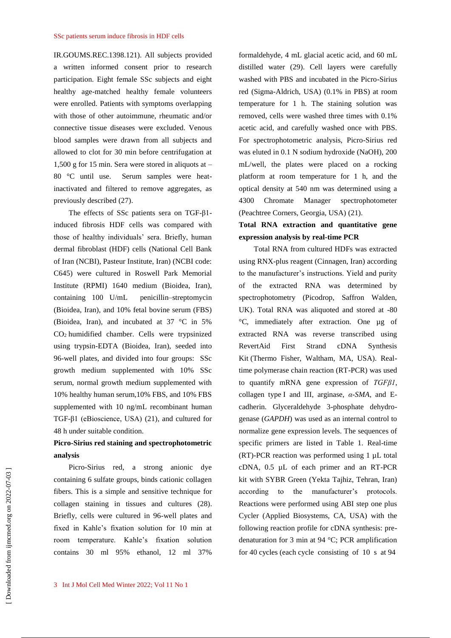IR.GOUMS.REC.1398.121). All subjects provided a written informed consent prior to research participation. Eight female SSc subjects and eight healthy age-matched healthy female volunteers were enrolled. Patients with symptoms overlapping with those of other autoimmune, rheumatic and/or connective tissue diseases were excluded. Venous blood samples were drawn from all subjects and allowed to clot for 30 min before centrifugation at 1,500 g for 15 min. Sera were stored in aliquots at – 80 °C until use. Serum samples were heatinactivated and filtered to remove aggregates, as previously described (27).

The effects of SSc patients sera on TGF-β1 induced fibrosis HDF cells was compared with those of healthy individuals' sera. Briefly, human dermal fibroblast (HDF) cells (National Cell Bank of Iran (NCBI), Pasteur Institute, Iran) (NCBI code: C645) were cultured in Roswell Park Memorial Institute (RPMI) 1640 medium (Bioidea, Iran), containing 100 U/mL penicillin–streptomycin (Bioidea, Iran), and 10% fetal bovine serum (FBS) (Bioidea, Iran), and incubated at 37 °C in 5% CO<sup>2</sup> humidified chamber. Cells were trypsinized using trypsin-EDTA (Bioidea, Iran), seeded into 96-well plates, and divided into four groups: SSc growth medium supplemented with 10% SSc serum, normal growth medium supplemented with 10% healthy human serum,10% FBS, and 10% FBS supplemented with 10 ng/mL recombinant human TGF-β1 (eBioscience, USA) (21), and cultured for 48 h under suitable condition.

# **Picro-Sirius red staining and spectrophotometric analysis**

Picro-Sirius red, a strong anionic dye containing 6 sulfate groups, binds cationic collagen fibers. This is a simple and sensitive technique for collagen staining in tissues and cultures (28). Briefly, cells were cultured in 96-well plates and fixed in Kahle's fixation solution for 10 min at room temperature. Kahle's fixation solution contains 30 ml 95% ethanol, 12 ml 37%

formaldehyde, 4 mL glacial acetic acid, and 60 mL distilled water (29). Cell layers were carefully washed with PBS and incubated in the Picro-Sirius red (Sigma-Aldrich, USA) (0.1% in PBS) at room temperature for 1 h. The staining solution was removed, cells were washed three times with 0.1% acetic acid, and carefully washed once with PBS. For spectrophotometric analysis, Picro-Sirius red was eluted in 0.1 N sodium hydroxide (NaOH), 200 mL/well, the plates were placed on a rocking platform at room temperature for 1 h, and the optical density at 540 nm was determined using a 4300 Chromate Manager spectrophotometer (Peachtree Corners, Georgia, USA) (21).

## **Total RNA extraction and quantitative gene expression analysis by real-time PCR**

Total RNA from cultured HDFs was extracted using RNX-plus reagent (Cinnagen, Iran) according to the manufacturer's instructions. Yield and purity of the extracted RNA was determined by spectrophotometry (Picodrop, Saffron Walden, UK). Total RNA was aliquoted and stored at -80 °C, immediately after extraction. One µg of extracted RNA was reverse transcribed using [RevertAid First Strand cDNA Synthesis](https://www.thermofisher.com/order/catalog/product/K1622?SID=srch-srp-K1622)  [Kit](https://www.thermofisher.com/order/catalog/product/K1622?SID=srch-srp-K1622) (Thermo Fisher, Waltham, MA, USA). Realtime polymerase chain reaction (RT-PCR) was used to quantify mRNA gene expression of *TGFβ1*, collagen type I and III, arginase, *α-SMA*, and Ecadherin. Glyceraldehyde 3-phosphate dehydrogenase (*GAPDH*) was used as an internal control to normalize gene expression levels. The sequences of specific primers are listed in Table 1. Real-time (RT)-PCR reaction was performed using 1 µL total cDNA, 0.5 µL of each primer and an RT-PCR kit with SYBR Green (Yekta Tajhiz, Tehran, Iran) according to the manufacturer's protocols. Reactions were performed using ABI step one plus Cycler (Applied Biosystems, CA, USA) with the following reaction profile for cDNA synthesis: predenaturation for 3 min at 94 °C; PCR amplification for 40 cycles (each cycle consisting of 10 s at 94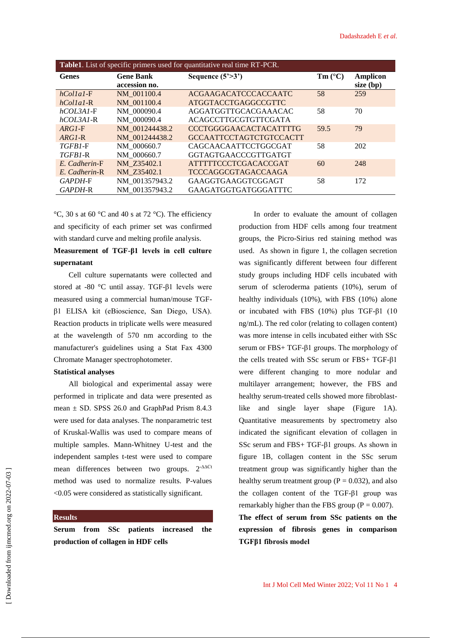| Table1. List of specific primers used for quantitative real time RT-PCR. |                  |                                |                                 |                 |
|--------------------------------------------------------------------------|------------------|--------------------------------|---------------------------------|-----------------|
| <b>Genes</b>                                                             | <b>Gene Bank</b> | Sequence $(5'$ >3')            | $\text{Im}(\ ^{\circ}\text{C})$ | <b>Amplicon</b> |
|                                                                          | accession no.    |                                |                                 | size (bp)       |
| $hCollal-F$                                                              | NM 001100.4      | <b>ACGAAGACATCCCACCAATC</b>    | 58                              | 259             |
| $hCollaI-R$                                                              | NM 001100.4      | ATGGTACCTGAGGCCGTTC            |                                 |                 |
| $hCOL3A1-F$                                                              | NM 000090.4      | AGGATGGTTGCACGAAACAC           | 58                              | 70              |
| $hCOL3A1-R$                                                              | NM 000090.4      | <b>ACAGCCTTGCGTGTTCGATA</b>    |                                 |                 |
| $ARGI-F$                                                                 | NM 001244438.2   | <b>CCCTGGGGAACACTACATTTTG</b>  | 59.5                            | 79              |
| $ARGI-R$                                                                 | NM 001244438.2   | <b>GCCAATTCCTAGTCTGTCCACTT</b> |                                 |                 |
| <i>TGFB1-F</i>                                                           | NM 000660.7      | CAGCAACAATTCCTGGCGAT           | 58                              | 202             |
| $TGFB1-R$                                                                | NM 000660.7      | GGTAGTGAACCCGTTGATGT           |                                 |                 |
| E. Cadherin-F                                                            | NM Z35402.1      | <b>ATTTTTCCCTCGACACCGAT</b>    | 60                              | 248             |
| E. Cadherin-R                                                            | NM Z35402.1      | <b>TCCCAGGCGTAGACCAAGA</b>     |                                 |                 |
| <b>GAPDH-F</b>                                                           | NM 001357943.2   | GAAGGTGAAGGTCGGAGT             | 58                              | 172             |
| GAPDH-R                                                                  | NM 001357943.2   | <b>GAAGATGGTGATGGGATTTC</b>    |                                 |                 |

 $\degree$ C, 30 s at 60  $\degree$ C and 40 s at 72  $\degree$ C). The efficiency and specificity of each primer set was confirmed with standard curve and melting profile analysis. **Measurement of TGF-β1 levels in cell culture supernatant**

Cell culture supernatants were collected and stored at -80 °C until assay. TGF-β1 levels were measured using a commercial human/mouse TGFβ1 ELISA kit (eBioscience, San Diego, USA). Reaction products in triplicate wells were measured at the wavelength of 570 nm according to the manufacturer's guidelines using a Stat Fax 4300 Chromate Manager spectrophotometer.

#### **Statistical analyses**

All biological and experimental assay were performed in triplicate and data were presented as mean ± SD. SPSS 26.0 and GraphPad Prism 8.4.3 were used for data analyses. The nonparametric test of Kruskal-Wallis was used to compare means of multiple samples. Mann-Whitney U-test and the independent samples t-test were used to compare mean differences between two groups. 2<sup>-∆∆Ct</sup> method was used to normalize results. P-values <0.05 were considered as statistically significant.

#### **Results**

**Serum from SSc patients increased the production of collagen in HDF cells**

In order to evaluate the amount of collagen production from HDF cells among four treatment groups, the Picro-Sirius red staining method was used. As shown in figure 1, the collagen secretion was significantly different between four different study groups including HDF cells incubated with serum of scleroderma patients (10%), serum of healthy individuals (10%), with FBS (10%) alone or incubated with FBS (10%) plus TGF-β1 (10 ng/mL). The red color (relating to collagen content) was more intense in cells incubated either with SSc serum or FBS+ TGF-β1 groups. The morphology of the cells treated with SSc serum or FBS+ TGF-β1 were different changing to more nodular and multilayer arrangement; however, the FBS and healthy serum-treated cells showed more fibroblastlike and single layer shape (Figure 1A). Quantitative measurements by spectrometry also indicated the significant elevation of collagen in SSc serum and FBS+ TGF-β1 groups. As shown in figure 1B, collagen content in the SSc serum treatment group was significantly higher than the healthy serum treatment group ( $P = 0.032$ ), and also the collagen content of the TGF-β1 group was remarkably higher than the FBS group ( $P = 0.007$ ). **The effect of serum from SSc patients on the expression of fibrosis genes in comparison** 

**TGFβ1 fibrosis model**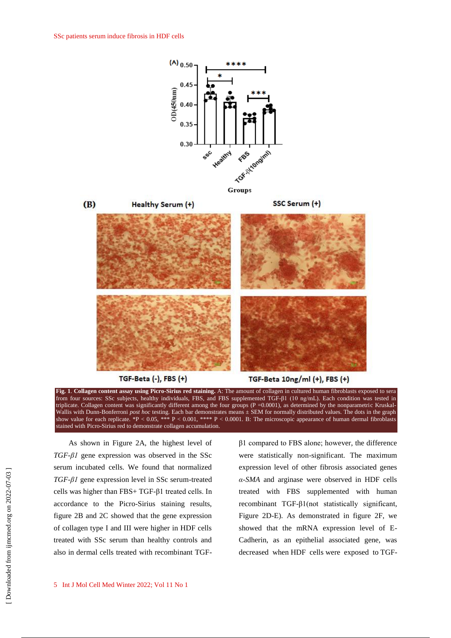$(B)$ 







TGF-Beta (-), FBS (+)

Healthy Serum (+)

TGF-Beta 10ng/ml (+), FBS (+)

**Fig. 1**. **Collagen content assay using Picro-Sirius red staining.** A: The amount of collagen in cultured human fibroblasts exposed to sera from four sources: SSc subjects, healthy individuals, FBS, and FBS supplemented TGF-β1 (10 ng/mL). Each condition was tested in triplicate. Collagen content was significantly different among the four groups (P =0.0001), as determined by the nonparametric Kruskal-Wallis with Dunn-Bonferroni *post hoc* testing. Each bar demonstrates means ± SEM for normally distributed values. The dots in the graph show value for each replicate. \*P < 0.05, \*\*\* P < 0.001, \*\*\*\* P < 0.0001. B: The microscopic appearance of human dermal fibroblasts stained with Picro-Sirius red to demonstrate collagen accumulation.

As shown in Figure 2A, the highest level of *TGF-β1* gene expression was observed in the SSc serum incubated cells. We found that normalized *TGF-β1* gene expression level in SSc serum-treated cells was higher than FBS+ TGF-β1 treated cells. In accordance to the Picro-Sirius staining results, figure 2B and 2C showed that the gene expression of collagen type I and III were higher in HDF cells treated with SSc serum than healthy controls and also in dermal cells treated with recombinant TGF-

β1 compared to FBS alone; however, the difference were statistically non-significant. The maximum expression level of other fibrosis associated genes *α-SMA* and arginase were observed in HDF cells treated with FBS supplemented with human recombinant TGF-β1(not statistically significant, Figure 2D-E). As demonstrated in figure 2F, we showed that the mRNA expression level of E-Cadherin, as an epithelial associated gene, was decreased when HDF cells were exposed to TGF-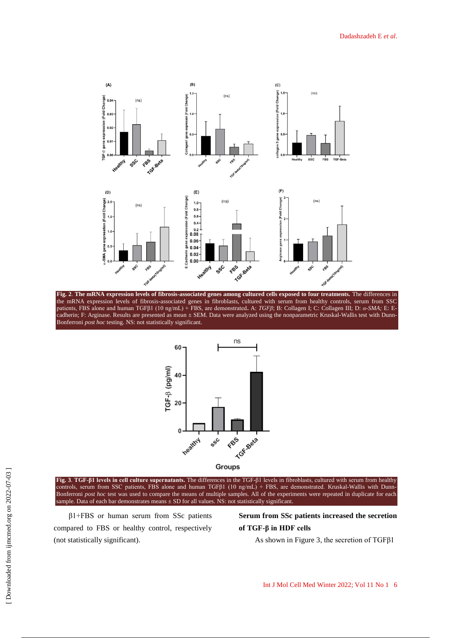

**Fig. 2**. **The mRNA expression levels of fibrosis-associated genes among cultured cells exposed to four treatments.** The differences in the mRNA expression levels of fibrosis-associated genes in fibroblasts, cultured with serum from healthy controls, serum from SSC patients, FBS alone and human TGFβ1 (10 ng/mL) + FBS, are demonstrated**.** A: *TGFβ*; B: Collagen I; C: Collagen III; D: *α-SMA;* E: Ecadherin; F: Arginase. Results are presented as mean ± SEM. Data were analyzed using the nonparametric Kruskal-Wallis test with Dunn-Bonferroni *post hoc* testing. NS: not statistically significant.



**Fig. 3**. **TGF-β1 levels in cell culture supernatants.** The differences in the TGF-β1 levels in fibroblasts, cultured with serum from healthy controls, serum from SSC patients, FBS alone and human TGFß1 (10 ng/mL) + FBS, are demonstrated. Kruskal-Wallis with Dunn-Bonferroni *post hoc* test was used to compare the means of multiple samples. All of the experiments were repeated in duplicate for each sample. Data of each bar demonstrates means  $\pm$  SD for all values. NS: not statistically significant

 $β1 + FBS$  or human serum from SSc patients compared to FBS or healthy control, respectively (not statistically significant).

**Serum from SSc patients increased the secretion of TGF-β in HDF cells**

As shown in Figure 3, the secretion of TGFβ1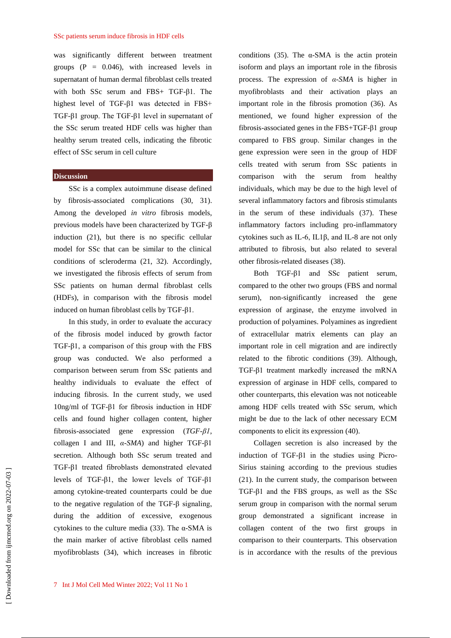was significantly different between treatment groups  $(P = 0.046)$ , with increased levels in supernatant of human dermal fibroblast cells treated with both SSc serum and FBS+ TGF-β1. The highest level of TGF-β1 was detected in FBS+ TGF-β1 group. The TGF-β1 level in supernatant of the SSc serum treated HDF cells was higher than healthy serum treated cells, indicating the fibrotic effect of SSc serum in cell culture

#### **Discussion**

SSc is a complex autoimmune disease defined by fibrosis-associated complications (30, 31). Among the developed *in vitro* fibrosis models, previous models have been characterized by TGF-β induction (21), but there is no specific cellular model for SSc that can be similar to the clinical conditions of scleroderma (21, 32). Accordingly, we investigated the fibrosis effects of serum from SSc patients on human dermal fibroblast cells (HDFs), in comparison with the fibrosis model induced on human fibroblast cells by TGF-β1.

In this study, in order to evaluate the accuracy of the fibrosis model induced by growth factor TGF-β1, a comparison of this group with the FBS group was conducted. We also performed a comparison between serum from SSc patients and healthy individuals to evaluate the effect of inducing fibrosis. In the current study, we used 10ng/ml of TGF-β1 for fibrosis induction in HDF cells and found higher collagen content, higher fibrosis-associated gene expression (*TGF-β1*, collagen I and III, *α-SMA*) and higher TGF-β1 secretion. Although both SSc serum treated and TGF-β1 treated fibroblasts demonstrated elevated levels of TGF-β1, the lower levels of TGF-β1 among cytokine-treated counterparts could be due to the negative regulation of the TGF-β signaling, during the addition of excessive, exogenous cytokines to the culture media (33). The  $\alpha$ -SMA is the main marker of active fibroblast cells named myofibroblasts (34), which increases in fibrotic

conditions (35). The  $\alpha$ -SMA is the actin protein isoform and plays an important role in the fibrosis process. The expression of *α-SMA* is higher in myofibroblasts and their activation plays an important role in the fibrosis promotion (36). As mentioned, we found higher expression of the fibrosis-associated genes in the FBS+TGF-β1 group compared to FBS group. Similar changes in the gene expression were seen in the group of HDF cells treated with serum from SSc patients in comparison with the serum from healthy individuals, which may be due to the high level of several inflammatory factors and fibrosis stimulants in the serum of these individuals (37). These inflammatory factors including pro-inflammatory cytokines such as IL-6, IL1β, and IL-8 are not only attributed to fibrosis, but also related to several other fibrosis-related diseases (38).

Both TGF-β1 and SSc patient serum, compared to the other two groups (FBS and normal serum), non-significantly increased the gene expression of arginase, the enzyme involved in production of polyamines. Polyamines as ingredient of extracellular matrix elements can play an important role in cell migration and are indirectly related to the fibrotic conditions (39). Although, TGF-β1 treatment markedly increased the mRNA expression of arginase in HDF cells, compared to other counterparts, this elevation was not noticeable among HDF cells treated with SSc serum, which might be due to the lack of other necessary ECM components to elicit its expression (40).

Collagen secretion is also increased by the induction of TGF-β1 in the studies using Picro-Sirius staining according to the previous studies (21). In the current study, the comparison between TGF-β1 and the FBS groups, as well as the SSc serum group in comparison with the normal serum group demonstrated a significant increase in collagen content of the two first groups in comparison to their counterparts. This observation is in accordance with the results of the previous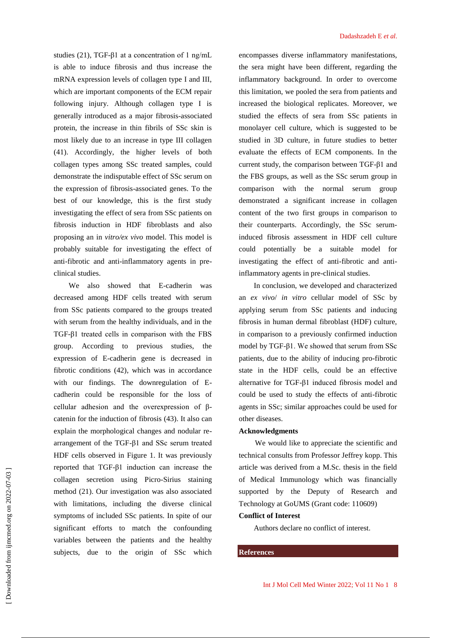studies (21), TGF-β1 at a concentration of 1 ng/mL is able to induce fibrosis and thus increase the mRNA expression levels of collagen type I and III, which are important components of the ECM repair following injury. Although collagen type I is generally introduced as a major fibrosis-associated protein, the increase in thin fibrils of SSc skin is most likely due to an increase in type III collagen (41). Accordingly, the higher levels of both collagen types among SSc treated samples, could demonstrate the indisputable effect of SSc serum on the expression of fibrosis-associated genes. To the best of our knowledge, this is the first study investigating the effect of sera from SSc patients on fibrosis induction in HDF fibroblasts and also proposing an in *vitro/ex vivo* model. This model is probably suitable for investigating the effect of anti-fibrotic and anti-inflammatory agents in preclinical studies.

We also showed that E-cadherin was decreased among HDF cells treated with serum from SSc patients compared to the groups treated with serum from the healthy individuals, and in the TGF-β1 treated cells in comparison with the FBS group. According to previous studies, the expression of E-cadherin gene is decreased in fibrotic conditions (42), which was in accordance with our findings. The downregulation of Ecadherin could be responsible for the loss of cellular adhesion and the overexpression of βcatenin for the induction of fibrosis (43). It also can explain the morphological changes and nodular rearrangement of the TGF-β1 and SSc serum treated HDF cells observed in Figure 1. It was previously reported that TGF-β1 induction can increase the collagen secretion using Picro-Sirius staining method (21). Our investigation was also associated with limitations, including the diverse clinical symptoms of included SSc patients. In spite of our significant efforts to match the confounding variables between the patients and the healthy subjects, due to the origin of SSc which

encompasses diverse inflammatory manifestations, the sera might have been different, regarding the inflammatory background. In order to overcome this limitation, we pooled the sera from patients and increased the biological replicates. Moreover, we studied the effects of sera from SSc patients in monolayer cell culture, which is suggested to be studied in 3D culture, in future studies to better evaluate the effects of ECM components. In the current study, the comparison between TGF-β1 and the FBS groups, as well as the SSc serum group in comparison with the normal serum group demonstrated a significant increase in collagen content of the two first groups in comparison to their counterparts. Accordingly, the SSc seruminduced fibrosis assessment in HDF cell culture could potentially be a suitable model for investigating the effect of anti-fibrotic and antiinflammatory agents in pre-clinical studies.

In conclusion, we developed and characterized an *ex vivo*/ *in vitro* cellular model of SSc by applying serum from SSc patients and inducing fibrosis in human dermal fibroblast (HDF) culture, in comparison to a previously confirmed induction model by TGF-β1. We showed that serum from SSc patients, due to the ability of inducing pro-fibrotic state in the HDF cells, could be an effective alternative for TGF-β1 induced fibrosis model and could be used to study the effects of anti-fibrotic agents in SSc; similar approaches could be used for other diseases.

#### **Acknowledgments**

We would like to appreciate the scientific and technical consults from Professor Jeffrey kopp. This article was derived from a M.Sc. thesis in the field of Medical Immunology which was financially supported by the Deputy of Research and Technology at GoUMS (Grant code: 110609)

### **Conflict of Interest**

Authors declare no conflict of interest.

#### **References**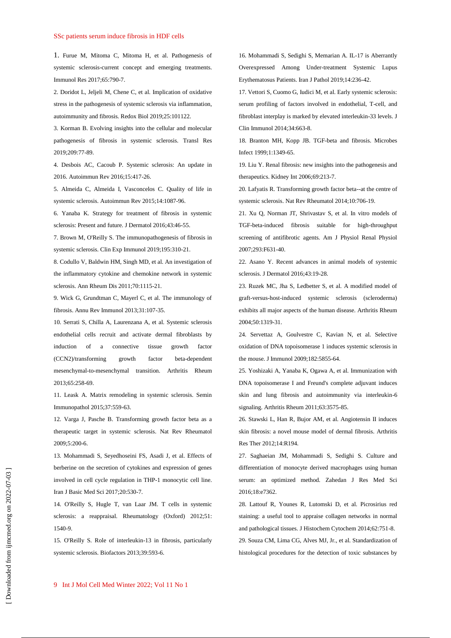#### SSc patients serum induce fibrosis in HDF cells

1. Furue M, Mitoma C, Mitoma H, et al. Pathogenesis of systemic sclerosis-current concept and emerging treatments. Immunol Res 2017;65:790-7.

2. Doridot L, Jeljeli M, Chene C, et al. Implication of oxidative stress in the pathogenesis of systemic sclerosis via inflammation, autoimmunity and fibrosis. Redox Biol 2019;25:101122.

3. Korman B. Evolving insights into the cellular and molecular pathogenesis of fibrosis in systemic sclerosis. Transl Res 2019;209:77-89.

4. Desbois AC, Cacoub P. Systemic sclerosis: An update in 2016. Autoimmun Rev 2016;15:417-26.

5. Almeida C, Almeida I, Vasconcelos C. Quality of life in systemic sclerosis. Autoimmun Rev 2015;14:1087-96.

6. Yanaba K. Strategy for treatment of fibrosis in systemic sclerosis: Present and future. J Dermatol 2016;43:46-55.

7. Brown M, O'Reilly S. The immunopathogenesis of fibrosis in systemic sclerosis. Clin Exp Immunol 2019;195:310-21.

8. Codullo V, Baldwin HM, Singh MD, et al. An investigation of the inflammatory cytokine and chemokine network in systemic sclerosis. Ann Rheum Dis 2011;70:1115-21.

9. Wick G, Grundtman C, Mayerl C, et al. The immunology of fibrosis. Annu Rev Immunol 2013;31:107-35.

10. Serrati S, Chilla A, Laurenzana A, et al. Systemic sclerosis endothelial cells recruit and activate dermal fibroblasts by induction of a connective tissue growth factor (CCN2)/transforming growth factor beta-dependent mesenchymal-to-mesenchymal transition. Arthritis Rheum 2013;65:258-69.

11. Leask A. Matrix remodeling in systemic sclerosis. Semin Immunopathol 2015;37:559-63.

12. Varga J, Pasche B. Transforming growth factor beta as a therapeutic target in systemic sclerosis. Nat Rev Rheumatol 2009;5:200-6.

13. Mohammadi S, Seyedhoseini FS, Asadi J, et al. Effects of berberine on the secretion of cytokines and expression of genes involved in cell cycle regulation in THP-1 monocytic cell line. Iran J Basic Med Sci 2017;20:530-7.

14. O'Reilly S, Hugle T, van Laar JM. T cells in systemic sclerosis: a reappraisal. Rheumatology (Oxford) 2012;51: 1540-9.

15. O'Reilly S. Role of interleukin-13 in fibrosis, particularly systemic sclerosis. Biofactors 2013;39:593-6.

16. Mohammadi S, Sedighi S, Memarian A. IL-17 is Aberrantly Overexpressed Among Under-treatment Systemic Lupus Erythematosus Patients. Iran J Pathol 2019;14:236-42.

17. Vettori S, Cuomo G, Iudici M, et al. Early systemic sclerosis: serum profiling of factors involved in endothelial, T-cell, and fibroblast interplay is marked by elevated interleukin-33 levels. J Clin Immunol 2014;34:663-8.

18. Branton MH, Kopp JB. TGF-beta and fibrosis. Microbes Infect 1999;1:1349-65.

19. Liu Y. Renal fibrosis: new insights into the pathogenesis and therapeutics. Kidney Int 2006;69:213-7.

20. Lafyatis R. Transforming growth factor beta--at the centre of systemic sclerosis. Nat Rev Rheumatol 2014;10:706-19.

21. Xu Q, Norman JT, Shrivastav S, et al. In vitro models of TGF-beta-induced fibrosis suitable for high-throughput screening of antifibrotic agents. Am J Physiol Renal Physiol 2007;293:F631-40.

22. Asano Y. Recent advances in animal models of systemic sclerosis. J Dermatol 2016;43:19-28.

23. Ruzek MC, Jha S, Ledbetter S, et al. A modified model of graft-versus-host-induced systemic sclerosis (scleroderma) exhibits all major aspects of the human disease. Arthritis Rheum 2004;50:1319-31.

24. Servettaz A, Goulvestre C, Kavian N, et al. Selective oxidation of DNA topoisomerase 1 induces systemic sclerosis in the mouse. J Immunol 2009;182:5855-64.

25. Yoshizaki A, Yanaba K, Ogawa A, et al. Immunization with DNA topoisomerase I and Freund's complete adjuvant induces skin and lung fibrosis and autoimmunity via interleukin-6 signaling. Arthritis Rheum 2011;63:3575-85.

26. Stawski L, Han R, Bujor AM, et al. Angiotensin II induces skin fibrosis: a novel mouse model of dermal fibrosis. Arthritis Res Ther 2012;14:R194.

27. Saghaeian JM, Mohammadi S, Sedighi S. Culture and differentiation of monocyte derived macrophages using human serum: an optimized method. Zahedan J Res Med Sci 2016;18:e7362.

28. Lattouf R, Younes R, Lutomski D, et al. Picrosirius red staining: a useful tool to appraise collagen networks in normal and pathological tissues. J Histochem Cytochem 2014;62:751-8. 29. Souza CM, Lima CG, Alves MJ, Jr., et al. Standardization of

histological procedures for the detection of toxic substances by